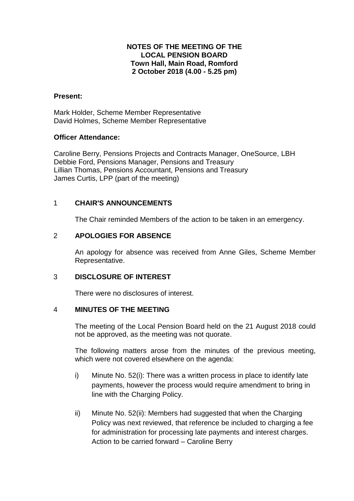## **NOTES OF THE MEETING OF THE LOCAL PENSION BOARD Town Hall, Main Road, Romford 2 October 2018 (4.00 - 5.25 pm)**

### **Present:**

Mark Holder, Scheme Member Representative David Holmes, Scheme Member Representative

### **Officer Attendance:**

Caroline Berry, Pensions Projects and Contracts Manager, OneSource, LBH Debbie Ford, Pensions Manager, Pensions and Treasury Lillian Thomas, Pensions Accountant, Pensions and Treasury James Curtis, LPP (part of the meeting)

## 1 **CHAIR'S ANNOUNCEMENTS**

The Chair reminded Members of the action to be taken in an emergency.

## 2 **APOLOGIES FOR ABSENCE**

An apology for absence was received from Anne Giles, Scheme Member Representative.

## 3 **DISCLOSURE OF INTEREST**

There were no disclosures of interest.

## 4 **MINUTES OF THE MEETING**

The meeting of the Local Pension Board held on the 21 August 2018 could not be approved, as the meeting was not quorate.

The following matters arose from the minutes of the previous meeting, which were not covered elsewhere on the agenda:

- i) Minute No. 52(i): There was a written process in place to identify late payments, however the process would require amendment to bring in line with the Charging Policy.
- ii) Minute No. 52(ii): Members had suggested that when the Charging Policy was next reviewed, that reference be included to charging a fee for administration for processing late payments and interest charges. Action to be carried forward – Caroline Berry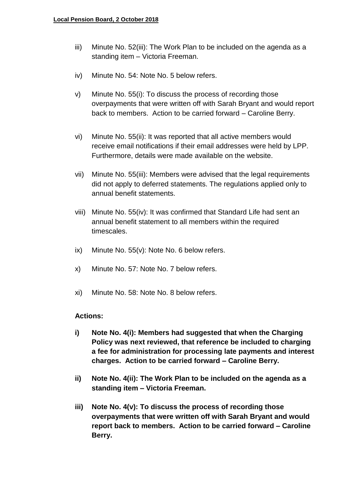- iii) Minute No. 52(iii): The Work Plan to be included on the agenda as a standing item – Victoria Freeman.
- iv) Minute No. 54: Note No. 5 below refers.
- v) Minute No. 55(i): To discuss the process of recording those overpayments that were written off with Sarah Bryant and would report back to members. Action to be carried forward – Caroline Berry.
- vi) Minute No. 55(ii): It was reported that all active members would receive email notifications if their email addresses were held by LPP. Furthermore, details were made available on the website.
- vii) Minute No. 55(iii): Members were advised that the legal requirements did not apply to deferred statements. The regulations applied only to annual benefit statements.
- viii) Minute No. 55(iv): It was confirmed that Standard Life had sent an annual benefit statement to all members within the required timescales.
- ix) Minute No. 55(v): Note No. 6 below refers.
- x) Minute No. 57: Note No. 7 below refers.
- xi) Minute No. 58: Note No. 8 below refers.

## **Actions:**

- **i) Note No. 4(i): Members had suggested that when the Charging Policy was next reviewed, that reference be included to charging a fee for administration for processing late payments and interest charges. Action to be carried forward – Caroline Berry.**
- **ii) Note No. 4(ii): The Work Plan to be included on the agenda as a standing item – Victoria Freeman.**
- **iii) Note No. 4(v): To discuss the process of recording those overpayments that were written off with Sarah Bryant and would report back to members. Action to be carried forward – Caroline Berry.**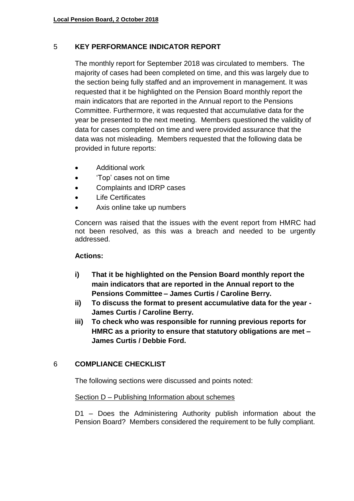# 5 **KEY PERFORMANCE INDICATOR REPORT**

The monthly report for September 2018 was circulated to members. The majority of cases had been completed on time, and this was largely due to the section being fully staffed and an improvement in management. It was requested that it be highlighted on the Pension Board monthly report the main indicators that are reported in the Annual report to the Pensions Committee. Furthermore, it was requested that accumulative data for the year be presented to the next meeting. Members questioned the validity of data for cases completed on time and were provided assurance that the data was not misleading. Members requested that the following data be provided in future reports:

- Additional work
- 'Top' cases not on time
- Complaints and IDRP cases
- Life Certificates
- Axis online take up numbers

Concern was raised that the issues with the event report from HMRC had not been resolved, as this was a breach and needed to be urgently addressed.

# **Actions:**

- **i) That it be highlighted on the Pension Board monthly report the main indicators that are reported in the Annual report to the Pensions Committee – James Curtis / Caroline Berry.**
- **ii) To discuss the format to present accumulative data for the year - James Curtis / Caroline Berry.**
- **iii) To check who was responsible for running previous reports for HMRC as a priority to ensure that statutory obligations are met – James Curtis / Debbie Ford.**

# 6 **COMPLIANCE CHECKLIST**

The following sections were discussed and points noted:

# Section D – Publishing Information about schemes

D1 – Does the Administering Authority publish information about the Pension Board? Members considered the requirement to be fully compliant.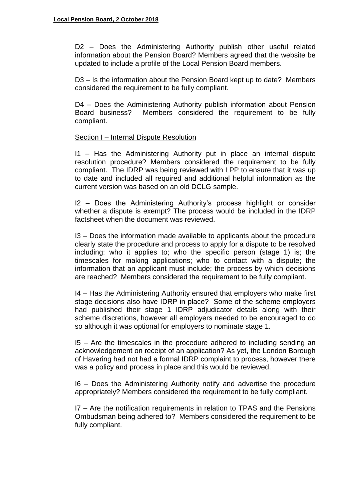D2 – Does the Administering Authority publish other useful related information about the Pension Board? Members agreed that the website be updated to include a profile of the Local Pension Board members.

D3 – Is the information about the Pension Board kept up to date? Members considered the requirement to be fully compliant.

D4 – Does the Administering Authority publish information about Pension Board business? Members considered the requirement to be fully compliant.

## Section I – Internal Dispute Resolution

I1 – Has the Administering Authority put in place an internal dispute resolution procedure? Members considered the requirement to be fully compliant. The IDRP was being reviewed with LPP to ensure that it was up to date and included all required and additional helpful information as the current version was based on an old DCLG sample.

I2 – Does the Administering Authority's process highlight or consider whether a dispute is exempt? The process would be included in the IDRP factsheet when the document was reviewed.

I3 – Does the information made available to applicants about the procedure clearly state the procedure and process to apply for a dispute to be resolved including: who it applies to; who the specific person (stage 1) is; the timescales for making applications; who to contact with a dispute; the information that an applicant must include; the process by which decisions are reached? Members considered the requirement to be fully compliant.

I4 – Has the Administering Authority ensured that employers who make first stage decisions also have IDRP in place? Some of the scheme employers had published their stage 1 IDRP adjudicator details along with their scheme discretions, however all employers needed to be encouraged to do so although it was optional for employers to nominate stage 1.

I5 – Are the timescales in the procedure adhered to including sending an acknowledgement on receipt of an application? As yet, the London Borough of Havering had not had a formal IDRP complaint to process, however there was a policy and process in place and this would be reviewed.

I6 – Does the Administering Authority notify and advertise the procedure appropriately? Members considered the requirement to be fully compliant.

I7 – Are the notification requirements in relation to TPAS and the Pensions Ombudsman being adhered to? Members considered the requirement to be fully compliant.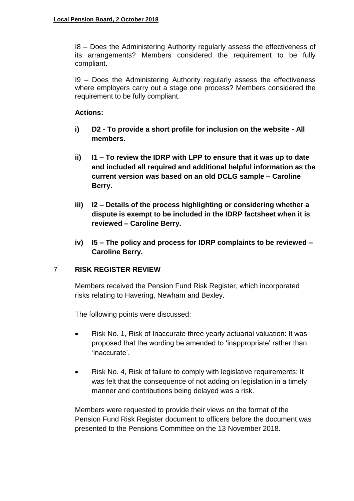I8 – Does the Administering Authority regularly assess the effectiveness of its arrangements? Members considered the requirement to be fully compliant.

I9 – Does the Administering Authority regularly assess the effectiveness where employers carry out a stage one process? Members considered the requirement to be fully compliant.

## **Actions:**

- **i) D2 - To provide a short profile for inclusion on the website - All members.**
- **ii) I1 – To review the IDRP with LPP to ensure that it was up to date and included all required and additional helpful information as the current version was based on an old DCLG sample – Caroline Berry.**
- **iii) I2 – Details of the process highlighting or considering whether a dispute is exempt to be included in the IDRP factsheet when it is reviewed – Caroline Berry.**
- **iv) I5 – The policy and process for IDRP complaints to be reviewed – Caroline Berry.**

# 7 **RISK REGISTER REVIEW**

Members received the Pension Fund Risk Register, which incorporated risks relating to Havering, Newham and Bexley.

The following points were discussed:

- Risk No. 1, Risk of Inaccurate three yearly actuarial valuation: It was proposed that the wording be amended to 'inappropriate' rather than 'inaccurate'.
- Risk No. 4, Risk of failure to comply with legislative requirements: It was felt that the consequence of not adding on legislation in a timely manner and contributions being delayed was a risk.

Members were requested to provide their views on the format of the Pension Fund Risk Register document to officers before the document was presented to the Pensions Committee on the 13 November 2018.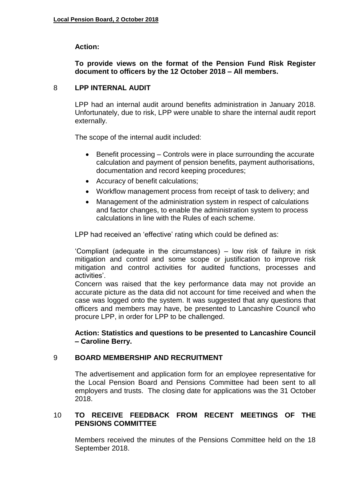## **Action:**

## **To provide views on the format of the Pension Fund Risk Register document to officers by the 12 October 2018 – All members.**

## 8 **LPP INTERNAL AUDIT**

LPP had an internal audit around benefits administration in January 2018. Unfortunately, due to risk, LPP were unable to share the internal audit report externally.

The scope of the internal audit included:

- $\bullet$  Benefit processing Controls were in place surrounding the accurate calculation and payment of pension benefits, payment authorisations, documentation and record keeping procedures;
- Accuracy of benefit calculations;
- Workflow management process from receipt of task to delivery; and
- Management of the administration system in respect of calculations and factor changes, to enable the administration system to process calculations in line with the Rules of each scheme.

LPP had received an 'effective' rating which could be defined as:

'Compliant (adequate in the circumstances) – low risk of failure in risk mitigation and control and some scope or justification to improve risk mitigation and control activities for audited functions, processes and activities'.

Concern was raised that the key performance data may not provide an accurate picture as the data did not account for time received and when the case was logged onto the system. It was suggested that any questions that officers and members may have, be presented to Lancashire Council who procure LPP, in order for LPP to be challenged.

**Action: Statistics and questions to be presented to Lancashire Council – Caroline Berry.**

## 9 **BOARD MEMBERSHIP AND RECRUITMENT**

The advertisement and application form for an employee representative for the Local Pension Board and Pensions Committee had been sent to all employers and trusts. The closing date for applications was the 31 October 2018.

## 10 **TO RECEIVE FEEDBACK FROM RECENT MEETINGS OF THE PENSIONS COMMITTEE**

Members received the minutes of the Pensions Committee held on the 18 September 2018.